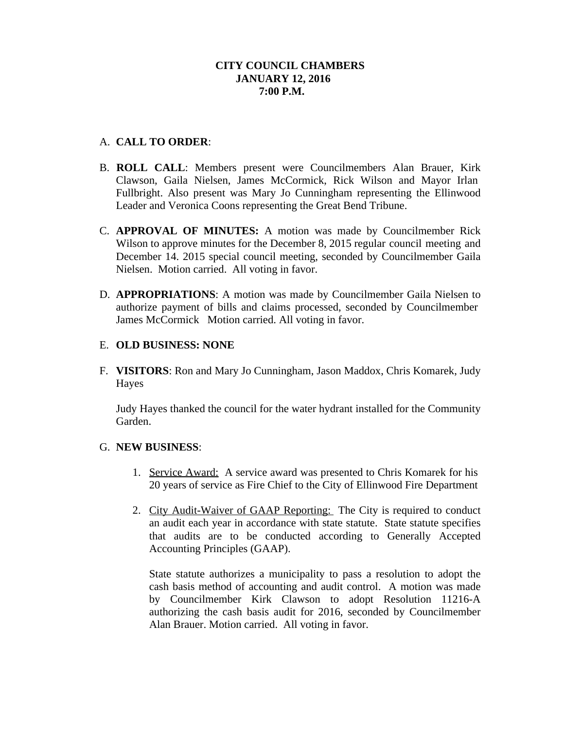# **CITY COUNCIL CHAMBERS JANUARY 12, 2016 7:00 P.M.**

# A. **CALL TO ORDER**:

- B. **ROLL CALL**: Members present were Councilmembers Alan Brauer, Kirk Clawson, Gaila Nielsen, James McCormick, Rick Wilson and Mayor Irlan Fullbright. Also present was Mary Jo Cunningham representing the Ellinwood Leader and Veronica Coons representing the Great Bend Tribune.
- C. **APPROVAL OF MINUTES:** A motion was made by Councilmember Rick Wilson to approve minutes for the December 8, 2015 regular council meeting and December 14. 2015 special council meeting, seconded by Councilmember Gaila Nielsen. Motion carried. All voting in favor.
- D. **APPROPRIATIONS**: A motion was made by Councilmember Gaila Nielsen to authorize payment of bills and claims processed, seconded by Councilmember James McCormick Motion carried. All voting in favor.

### E. **OLD BUSINESS: NONE**

F. **VISITORS**: Ron and Mary Jo Cunningham, Jason Maddox, Chris Komarek, Judy Hayes

Judy Hayes thanked the council for the water hydrant installed for the Community Garden.

### G. **NEW BUSINESS**:

- 1. Service Award: A service award was presented to Chris Komarek for his 20 years of service as Fire Chief to the City of Ellinwood Fire Department
- 2. City Audit-Waiver of GAAP Reporting: The City is required to conduct an audit each year in accordance with state statute. State statute specifies that audits are to be conducted according to Generally Accepted Accounting Principles (GAAP).

State statute authorizes a municipality to pass a resolution to adopt the cash basis method of accounting and audit control. A motion was made by Councilmember Kirk Clawson to adopt Resolution 11216-A authorizing the cash basis audit for 2016, seconded by Councilmember Alan Brauer. Motion carried. All voting in favor.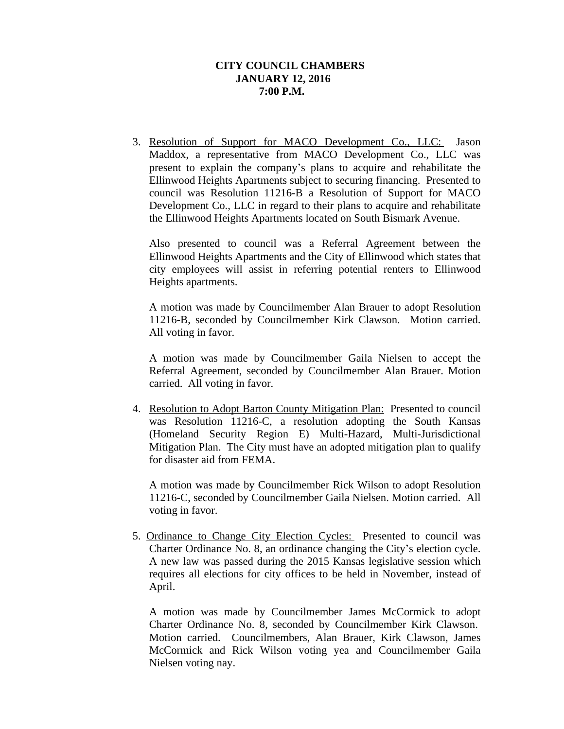# **CITY COUNCIL CHAMBERS JANUARY 12, 2016 7:00 P.M.**

3. Resolution of Support for MACO Development Co., LLC: Jason Maddox, a representative from MACO Development Co., LLC was present to explain the company's plans to acquire and rehabilitate the Ellinwood Heights Apartments subject to securing financing. Presented to council was Resolution 11216-B a Resolution of Support for MACO Development Co., LLC in regard to their plans to acquire and rehabilitate the Ellinwood Heights Apartments located on South Bismark Avenue.

Also presented to council was a Referral Agreement between the Ellinwood Heights Apartments and the City of Ellinwood which states that city employees will assist in referring potential renters to Ellinwood Heights apartments.

A motion was made by Councilmember Alan Brauer to adopt Resolution 11216-B, seconded by Councilmember Kirk Clawson. Motion carried. All voting in favor.

A motion was made by Councilmember Gaila Nielsen to accept the Referral Agreement, seconded by Councilmember Alan Brauer. Motion carried. All voting in favor.

4. Resolution to Adopt Barton County Mitigation Plan: Presented to council was Resolution 11216-C, a resolution adopting the South Kansas (Homeland Security Region E) Multi-Hazard, Multi-Jurisdictional Mitigation Plan. The City must have an adopted mitigation plan to qualify for disaster aid from FEMA.

A motion was made by Councilmember Rick Wilson to adopt Resolution 11216-C, seconded by Councilmember Gaila Nielsen. Motion carried. All voting in favor.

5. Ordinance to Change City Election Cycles: Presented to council was Charter Ordinance No. 8, an ordinance changing the City's election cycle. A new law was passed during the 2015 Kansas legislative session which requires all elections for city offices to be held in November, instead of April.

A motion was made by Councilmember James McCormick to adopt Charter Ordinance No. 8, seconded by Councilmember Kirk Clawson. Motion carried. Councilmembers, Alan Brauer, Kirk Clawson, James McCormick and Rick Wilson voting yea and Councilmember Gaila Nielsen voting nay.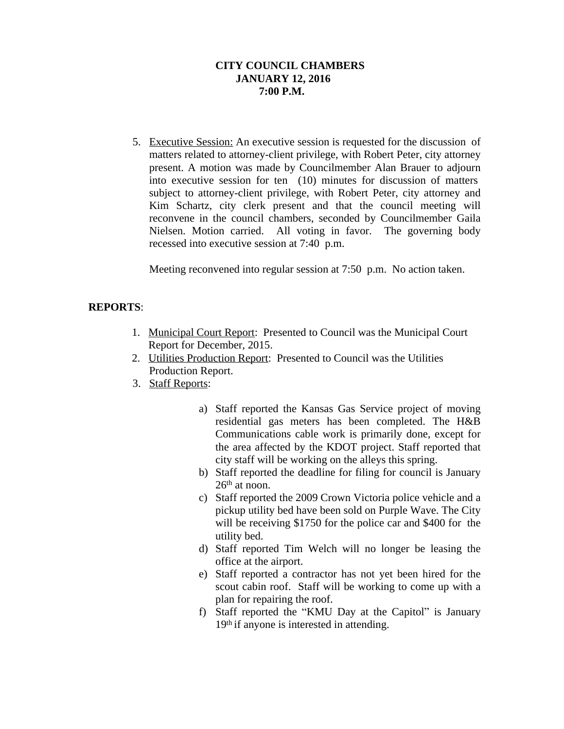# **CITY COUNCIL CHAMBERS JANUARY 12, 2016 7:00 P.M.**

5. Executive Session: An executive session is requested for the discussion of matters related to attorney-client privilege, with Robert Peter, city attorney present. A motion was made by Councilmember Alan Brauer to adjourn into executive session for ten (10) minutes for discussion of matters subject to attorney-client privilege, with Robert Peter, city attorney and Kim Schartz, city clerk present and that the council meeting will reconvene in the council chambers, seconded by Councilmember Gaila Nielsen. Motion carried. All voting in favor. The governing body recessed into executive session at 7:40 p.m.

Meeting reconvened into regular session at 7:50 p.m. No action taken.

# **REPORTS**:

- 1. Municipal Court Report: Presented to Council was the Municipal Court Report for December, 2015.
- 2. Utilities Production Report: Presented to Council was the Utilities Production Report.
- 3. Staff Reports:
	- a) Staff reported the Kansas Gas Service project of moving residential gas meters has been completed. The H&B Communications cable work is primarily done, except for the area affected by the KDOT project. Staff reported that city staff will be working on the alleys this spring.
	- b) Staff reported the deadline for filing for council is January 26<sup>th</sup> at noon.
	- c) Staff reported the 2009 Crown Victoria police vehicle and a pickup utility bed have been sold on Purple Wave. The City will be receiving \$1750 for the police car and \$400 for the utility bed.
	- d) Staff reported Tim Welch will no longer be leasing the office at the airport.
	- e) Staff reported a contractor has not yet been hired for the scout cabin roof. Staff will be working to come up with a plan for repairing the roof.
	- f) Staff reported the "KMU Day at the Capitol" is January 19<sup>th</sup> if anyone is interested in attending.